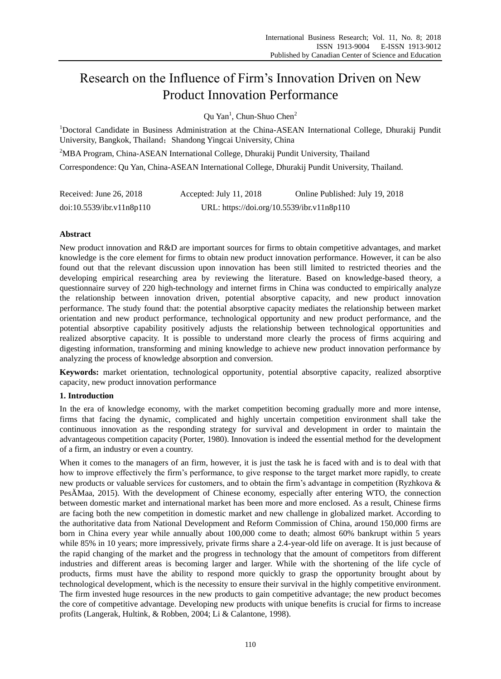# Research on the Influence of Firm's Innovation Driven on New Product Innovation Performance

 $Qu Yan<sup>1</sup>$ , Chun-Shuo Chen<sup>2</sup>

<sup>1</sup>Doctoral Candidate in Business Administration at the China-ASEAN International College, Dhurakij Pundit University, Bangkok, Thailand; Shandong Yingcai University, China

<sup>2</sup>MBA Program, China-ASEAN International College, Dhurakij Pundit University, Thailand

Correspondence: Qu Yan, China-ASEAN International College, Dhurakij Pundit University, Thailand.

| Received: June 26, 2018   | Accepted: July 11, 2018                    | Online Published: July 19, 2018 |
|---------------------------|--------------------------------------------|---------------------------------|
| doi:10.5539/ibr.v11n8p110 | URL: https://doi.org/10.5539/ibr.v11n8p110 |                                 |

# **Abstract**

New product innovation and R&D are important sources for firms to obtain competitive advantages, and market knowledge is the core element for firms to obtain new product innovation performance. However, it can be also found out that the relevant discussion upon innovation has been still limited to restricted theories and the developing empirical researching area by reviewing the literature. Based on knowledge-based theory, a questionnaire survey of 220 high-technology and internet firms in China was conducted to empirically analyze the relationship between innovation driven, potential absorptive capacity, and new product innovation performance. The study found that: the potential absorptive capacity mediates the relationship between market orientation and new product performance, technological opportunity and new product performance, and the potential absorptive capability positively adjusts the relationship between technological opportunities and realized absorptive capacity. It is possible to understand more clearly the process of firms acquiring and digesting information, transforming and mining knowledge to achieve new product innovation performance by analyzing the process of knowledge absorption and conversion.

**Keywords:** market orientation, technological opportunity, potential absorptive capacity, realized absorptive capacity, new product innovation performance

## **1. Introduction**

In the era of knowledge economy, with the market competition becoming gradually more and more intense, firms that facing the dynamic, complicated and highly uncertain competition environment shall take the continuous innovation as the responding strategy for survival and development in order to maintain the advantageous competition capacity (Porter, 1980). Innovation is indeed the essential method for the development of a firm, an industry or even a country.

When it comes to the managers of an firm, however, it is just the task he is faced with and is to deal with that how to improve effectively the firm's performance, to give response to the target market more rapidly, to create new products or valuable services for customers, and to obtain the firm's advantage in competition (Ryzhkova & PesÄMaa, 2015). With the development of Chinese economy, especially after entering WTO, the connection between domestic market and international market has been more and more enclosed. As a result, Chinese firms are facing both the new competition in domestic market and new challenge in globalized market. According to the authoritative data from National Development and Reform Commission of China, around 150,000 firms are born in China every year while annually about 100,000 come to death; almost 60% bankrupt within 5 years while 85% in 10 years; more impressively, private firms share a 2.4-year-old life on average. It is just because of the rapid changing of the market and the progress in technology that the amount of competitors from different industries and different areas is becoming larger and larger. While with the shortening of the life cycle of products, firms must have the ability to respond more quickly to grasp the opportunity brought about by technological development, which is the necessity to ensure their survival in the highly competitive environment. The firm invested huge resources in the new products to gain competitive advantage; the new product becomes the core of competitive advantage. Developing new products with unique benefits is crucial for firms to increase profits (Langerak, Hultink, & Robben, 2004; Li & Calantone, 1998).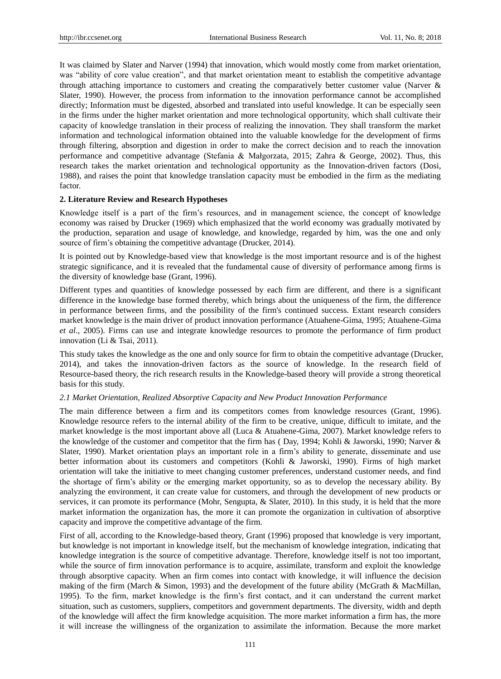It was claimed by Slater and Narver (1994) that innovation, which would mostly come from market orientation, was "ability of core value creation", and that market orientation meant to establish the competitive advantage through attaching importance to customers and creating the comparatively better customer value (Narver & Slater, 1990). However, the process from information to the innovation performance cannot be accomplished directly; Information must be digested, absorbed and translated into useful knowledge. It can be especially seen in the firms under the higher market orientation and more technological opportunity, which shall cultivate their capacity of knowledge translation in their process of realizing the innovation. They shall transform the market information and technological information obtained into the valuable knowledge for the development of firms through filtering, absorption and digestion in order to make the correct decision and to reach the innovation performance and competitive advantage (Stefania & Małgorzata, 2015; Zahra & George, 2002). Thus, this research takes the market orientation and technological opportunity as the Innovation-driven factors (Dosi, 1988), and raises the point that knowledge translation capacity must be embodied in the firm as the mediating factor.

## **2. Literature Review and Research Hypotheses**

Knowledge itself is a part of the firm's resources, and in management science, the concept of knowledge economy was raised by Drucker (1969) which emphasized that the world economy was gradually motivated by the production, separation and usage of knowledge, and knowledge, regarded by him, was the one and only source of firm's obtaining the competitive advantage (Drucker, 2014).

It is pointed out by Knowledge-based view that knowledge is the most important resource and is of the highest strategic significance, and it is revealed that the fundamental cause of diversity of performance among firms is the diversity of knowledge base (Grant, 1996).

Different types and quantities of knowledge possessed by each firm are different, and there is a significant difference in the knowledge base formed thereby, which brings about the uniqueness of the firm, the difference in performance between firms, and the possibility of the firm's continued success. Extant research considers market knowledge is the main driver of product innovation performance (Atuahene-Gima, 1995; Atuahene-Gima *et al*., 2005). Firms can use and integrate knowledge resources to promote the performance of firm product innovation (Li & Tsai, 2011).

This study takes the knowledge as the one and only source for firm to obtain the competitive advantage (Drucker, 2014), and takes the innovation-driven factors as the source of knowledge. In the research field of Resource-based theory, the rich research results in the Knowledge-based theory will provide a strong theoretical basis for this study.

#### *2.1 Market Orientation, Realized Absorptive Capacity and New Product Innovation Performance*

The main difference between a firm and its competitors comes from knowledge resources (Grant, 1996). Knowledge resource refers to the internal ability of the firm to be creative, unique, difficult to imitate, and the market knowledge is the most important above all (Luca & Atuahene-Gima, 2007). Market knowledge refers to the knowledge of the customer and competitor that the firm has ( Day, 1994; Kohli & Jaworski, 1990; Narver & Slater, 1990). Market orientation plays an important role in a firm's ability to generate, disseminate and use better information about its customers and competitors (Kohli & Jaworski, 1990). Firms of high market orientation will take the initiative to meet changing customer preferences, understand customer needs, and find the shortage of firm's ability or the emerging market opportunity, so as to develop the necessary ability. By analyzing the environment, it can create value for customers, and through the development of new products or services, it can promote its performance (Mohr, Sengupta, & Slater, 2010). In this study, it is held that the more market information the organization has, the more it can promote the organization in cultivation of absorptive capacity and improve the competitive advantage of the firm.

First of all, according to the Knowledge-based theory, Grant (1996) proposed that knowledge is very important, but knowledge is not important in knowledge itself, but the mechanism of knowledge integration, indicating that knowledge integration is the source of competitive advantage. Therefore, knowledge itself is not too important, while the source of firm innovation performance is to acquire, assimilate, transform and exploit the knowledge through absorptive capacity. When an firm comes into contact with knowledge, it will influence the decision making of the firm (March & Simon, 1993) and the development of the future ability (McGrath & MacMillan, 1995). To the firm, market knowledge is the firm's first contact, and it can understand the current market situation, such as customers, suppliers, competitors and government departments. The diversity, width and depth of the knowledge will affect the firm knowledge acquisition. The more market information a firm has, the more it will increase the willingness of the organization to assimilate the information. Because the more market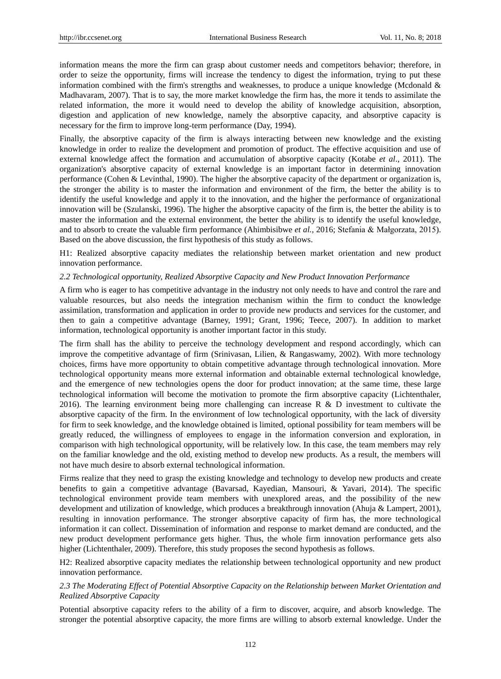information means the more the firm can grasp about customer needs and competitors behavior; therefore, in order to seize the opportunity, firms will increase the tendency to digest the information, trying to put these information combined with the firm's strengths and weaknesses, to produce a unique knowledge (Mcdonald  $\&$ Madhavaram, 2007). That is to say, the more market knowledge the firm has, the more it tends to assimilate the related information, the more it would need to develop the ability of knowledge acquisition, absorption, digestion and application of new knowledge, namely the absorptive capacity, and absorptive capacity is necessary for the firm to improve long-term performance (Day, 1994).

Finally, the absorptive capacity of the firm is always interacting between new knowledge and the existing knowledge in order to realize the development and promotion of product. The effective acquisition and use of external knowledge affect the formation and accumulation of absorptive capacity (Kotabe *et al*., 2011). The organization's absorptive capacity of external knowledge is an important factor in determining innovation performance (Cohen & Levinthal, 1990). The higher the absorptive capacity of the department or organization is, the stronger the ability is to master the information and environment of the firm, the better the ability is to identify the useful knowledge and apply it to the innovation, and the higher the performance of organizational innovation will be (Szulanski, 1996). The higher the absorptive capacity of the firm is, the better the ability is to master the information and the external environment, the better the ability is to identify the useful knowledge, and to absorb to create the valuable firm performance [\(Ahimbisibwe](#page-10-0) *et al.,* 2016; Stefania & Małgorzata, 2015). Based on the above discussion, the first hypothesis of this study as follows.

H1: Realized absorptive capacity mediates the relationship between market orientation and new product innovation performance.

#### *2.2 Technological opportunity, Realized Absorptive Capacity and New Product Innovation Performance*

A firm who is eager to has competitive advantage in the industry not only needs to have and control the rare and valuable resources, but also needs the integration mechanism within the firm to conduct the knowledge assimilation, transformation and application in order to provide new products and services for the customer, and then to gain a competitive advantage (Barney, 1991; Grant, 1996; Teece, 2007). In addition to market information, technological opportunity is another important factor in this study.

The firm shall has the ability to perceive the technology development and respond accordingly, which can improve the competitive advantage of firm (Srinivasan, Lilien, & Rangaswamy, 2002). With more technology choices, firms have more opportunity to obtain competitive advantage through technological innovation. More technological opportunity means more external information and obtainable external technological knowledge, and the emergence of new technologies opens the door for product innovation; at the same time, these large technological information will become the motivation to promote the firm absorptive capacity (Lichtenthaler, 2016). The learning environment being more challenging can increase R  $\&$  D investment to cultivate the absorptive capacity of the firm. In the environment of low technological opportunity, with the lack of diversity for firm to seek knowledge, and the knowledge obtained is limited, optional possibility for team members will be greatly reduced, the willingness of employees to engage in the information conversion and exploration, in comparison with high technological opportunity, will be relatively low. In this case, the team members may rely on the familiar knowledge and the old, existing method to develop new products. As a result, the members will not have much desire to absorb external technological information.

Firms realize that they need to grasp the existing knowledge and technology to develop new products and create benefits to gain a competitive advantage (Bavarsad, Kayedian, Mansouri, & Yavari, 2014). The specific technological environment provide team members with unexplored areas, and the possibility of the new development and utilization of knowledge, which produces a breakthrough innovation [\(Ahuja & Lampert, 2001\)](#page-10-1), resulting in innovation performance. The stronger absorptive capacity of firm has, the more technological information it can collect. Dissemination of information and response to market demand are conducted, and the new product development performance gets higher. Thus, the whole firm innovation performance gets also higher (Lichtenthaler, 2009). Therefore, this study proposes the second hypothesis as follows.

H2: Realized absorptive capacity mediates the relationship between technological opportunity and new product innovation performance.

# *2.3 The Moderating Effect of Potential Absorptive Capacity on the Relationship between Market Orientation and Realized Absorptive Capacity*

Potential absorptive capacity refers to the ability of a firm to discover, acquire, and absorb knowledge. The stronger the potential absorptive capacity, the more firms are willing to absorb external knowledge. Under the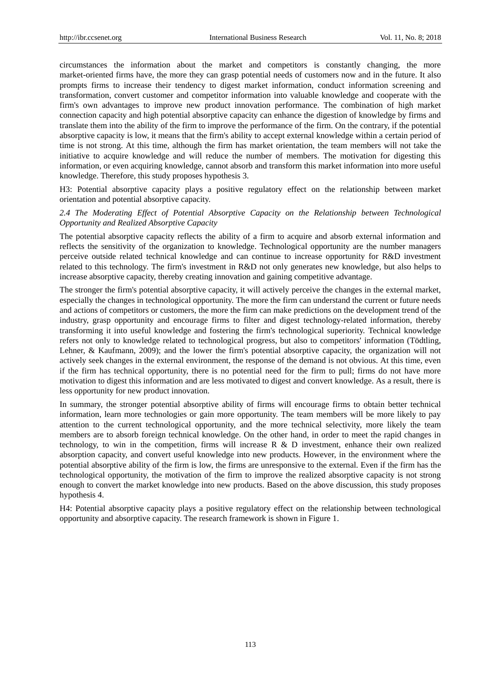circumstances the information about the market and competitors is constantly changing, the more market-oriented firms have, the more they can grasp potential needs of customers now and in the future. It also prompts firms to increase their tendency to digest market information, conduct information screening and transformation, convert customer and competitor information into valuable knowledge and cooperate with the firm's own advantages to improve new product innovation performance. The combination of high market connection capacity and high potential absorptive capacity can enhance the digestion of knowledge by firms and translate them into the ability of the firm to improve the performance of the firm. On the contrary, if the potential absorptive capacity is low, it means that the firm's ability to accept external knowledge within a certain period of time is not strong. At this time, although the firm has market orientation, the team members will not take the initiative to acquire knowledge and will reduce the number of members. The motivation for digesting this information, or even acquiring knowledge, cannot absorb and transform this market information into more useful knowledge. Therefore, this study proposes hypothesis 3.

H3: Potential absorptive capacity plays a positive regulatory effect on the relationship between market orientation and potential absorptive capacity.

# *2.4 The Moderating Effect of Potential Absorptive Capacity on the Relationship between Technological Opportunity and Realized Absorptive Capacity*

The potential absorptive capacity reflects the ability of a firm to acquire and absorb external information and reflects the sensitivity of the organization to knowledge. Technological opportunity are the number managers perceive outside related technical knowledge and can continue to increase opportunity for R&D investment related to this technology. The firm's investment in R&D not only generates new knowledge, but also helps to increase absorptive capacity, thereby creating innovation and gaining competitive advantage.

The stronger the firm's potential absorptive capacity, it will actively perceive the changes in the external market, especially the changes in technological opportunity. The more the firm can understand the current or future needs and actions of competitors or customers, the more the firm can make predictions on the development trend of the industry, grasp opportunity and encourage firms to filter and digest technology-related information, thereby transforming it into useful knowledge and fostering the firm's technological superiority. Technical knowledge refers not only to knowledge related to technological progress, but also to competitors' information (Tödtling, Lehner, & Kaufmann, 2009); and the lower the firm's potential absorptive capacity, the organization will not actively seek changes in the external environment, the response of the demand is not obvious. At this time, even if the firm has technical opportunity, there is no potential need for the firm to pull; firms do not have more motivation to digest this information and are less motivated to digest and convert knowledge. As a result, there is less opportunity for new product innovation.

In summary, the stronger potential absorptive ability of firms will encourage firms to obtain better technical information, learn more technologies or gain more opportunity. The team members will be more likely to pay attention to the current technological opportunity, and the more technical selectivity, more likely the team members are to absorb foreign technical knowledge. On the other hand, in order to meet the rapid changes in technology, to win in the competition, firms will increase R  $\&$  D investment, enhance their own realized absorption capacity, and convert useful knowledge into new products. However, in the environment where the potential absorptive ability of the firm is low, the firms are unresponsive to the external. Even if the firm has the technological opportunity, the motivation of the firm to improve the realized absorptive capacity is not strong enough to convert the market knowledge into new products. Based on the above discussion, this study proposes hypothesis 4.

H4: Potential absorptive capacity plays a positive regulatory effect on the relationship between technological opportunity and absorptive capacity. The research framework is shown in Figure 1.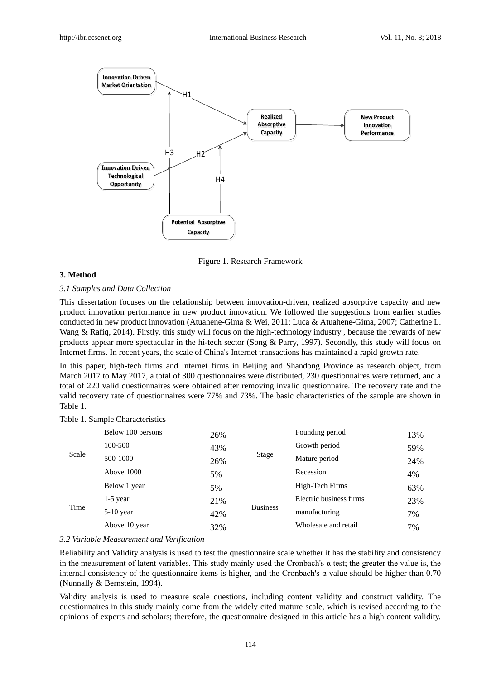

Figure 1. Research Framework

## **3. Method**

## *3.1 Samples and Data Collection*

This dissertation focuses on the relationship between innovation-driven, realized absorptive capacity and new product innovation performance in new product innovation. We followed the suggestions from earlier studies conducted in new product innovation (Atuahene-Gima & Wei, 2011; Luca & Atuahene-Gima, 2007; Catherine L. Wang & Rafiq, 2014). Firstly, this study will focus on the high-technology industry , because the rewards of new products appear more spectacular in the hi-tech sector (Song & Parry, 1997). Secondly, this study will focus on Internet firms. In recent years, the scale of China's Internet transactions has maintained a rapid growth rate.

In this paper, high-tech firms and Internet firms in Beijing and Shandong Province as research object, from March 2017 to May 2017, a total of 300 questionnaires were distributed, 230 questionnaires were returned, and a total of 220 valid questionnaires were obtained after removing invalid questionnaire. The recovery rate and the valid recovery rate of questionnaires were 77% and 73%. The basic characteristics of the sample are shown in Table 1.

| Scale | Below 100 persons | 26% |                 | Founding period         | 13% |
|-------|-------------------|-----|-----------------|-------------------------|-----|
|       | 100-500           | 43% |                 | Growth period           | 59% |
|       | 500-1000          | 26% | Stage           | Mature period           | 24% |
|       | Above 1000        | 5%  |                 | Recession               | 4%  |
| Time  | Below 1 year      | 5%  |                 | High-Tech Firms         | 63% |
|       | $1-5$ year        | 21% |                 | Electric business firms | 23% |
|       | $5-10$ year       | 42% | <b>Business</b> | manufacturing           | 7%  |
|       | Above 10 year     | 32% |                 | Wholesale and retail    | 7%  |
|       |                   |     |                 |                         |     |

#### Table 1. Sample Characteristics

## *3.2 Variable Measurement and Verification*

Reliability and Validity analysis is used to test the questionnaire scale whether it has the stability and consistency in the measurement of latent variables. This study mainly used the Cronbach's  $\alpha$  test; the greater the value is, the internal consistency of the questionnaire items is higher, and the Cronbach's  $\alpha$  value should be higher than 0.70 (Nunnally & Bernstein, 1994).

Validity analysis is used to measure scale questions, including content validity and construct validity. The questionnaires in this study mainly come from the widely cited mature scale, which is revised according to the opinions of experts and scholars; therefore, the questionnaire designed in this article has a high content validity.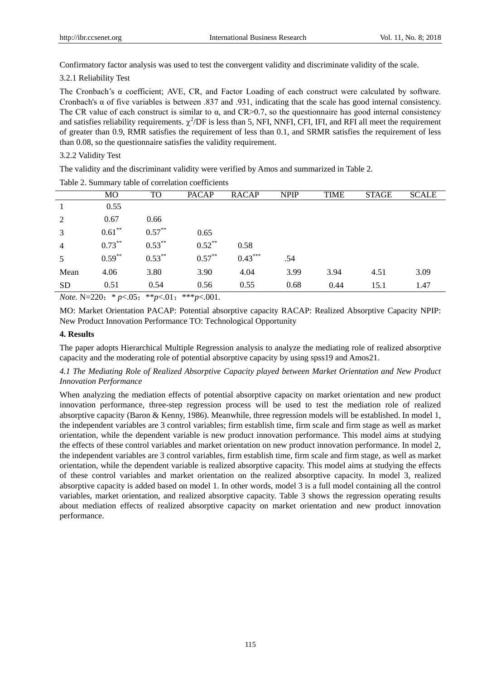Confirmatory factor analysis was used to test the convergent validity and discriminate validity of the scale.

## 3.2.1 Reliability Test

The Cronbach's α coefficient; AVE, CR, and Factor Loading of each construct were calculated by software. Cronbach's  $\alpha$  of five variables is between .837 and .931, indicating that the scale has good internal consistency. The CR value of each construct is similar to  $\alpha$ , and CR>0.7, so the questionnaire has good internal consistency and satisfies reliability requirements.  $\chi^2/DF$  is less than 5, NFI, NNFI, CFI, IFI, and RFI all meet the requirement of greater than 0.9, RMR satisfies the requirement of less than 0.1, and SRMR satisfies the requirement of less than 0.08, so the questionnaire satisfies the validity requirement.

# 3.2.2 Validity Test

The validity and the discriminant validity were verified by Amos and summarized in Table 2.

|                | MO                                                                                                                                | TO                 | <b>PACAP</b> | <b>RACAP</b> | <b>NPIP</b> | <b>TIME</b> | <b>STAGE</b> | <b>SCALE</b> |
|----------------|-----------------------------------------------------------------------------------------------------------------------------------|--------------------|--------------|--------------|-------------|-------------|--------------|--------------|
| -1             | 0.55                                                                                                                              |                    |              |              |             |             |              |              |
| 2              | 0.67                                                                                                                              | 0.66               |              |              |             |             |              |              |
| 3              | $0.61***$                                                                                                                         | $0.57***$          | 0.65         |              |             |             |              |              |
| $\overline{4}$ | $0.73***$                                                                                                                         | $0.53***$          | $0.52***$    | 0.58         |             |             |              |              |
| 5              | $0.59***$                                                                                                                         | $0.53***$          | $0.57***$    | $0.43***$    | .54         |             |              |              |
| Mean           | 4.06                                                                                                                              | 3.80               | 3.90         | 4.04         | 3.99        | 3.94        | 4.51         | 3.09         |
| <b>SD</b>      | 0.51                                                                                                                              | 0.54               | 0.56         | 0.55         | 0.68        | 0.44        | 15.1         | 1.47         |
|                | $\mathbf{v}$ $\mathbf{v}$ $\mathbf{v}$ $\mathbf{v}$ $\mathbf{v}$ $\mathbf{v}$ $\mathbf{v}$ $\mathbf{v}$ $\mathbf{v}$ $\mathbf{v}$ | $x^2 - 2x + 1 = 0$ | d            |              |             |             |              |              |

Table 2. Summary table of correlation coefficients

*Note.*  $N=220$ ;  $* p < .05$ ;  $* p < .01$ ;  $* * p < .001$ .

MO: Market Orientation PACAP: Potential absorptive capacity RACAP: Realized Absorptive Capacity NPIP: New Product Innovation Performance TO: Technological Opportunity

## **4. Results**

The paper adopts Hierarchical Multiple Regression analysis to analyze the mediating role of realized absorptive capacity and the moderating role of potential absorptive capacity by using spss19 and Amos21.

# *4.1 The Mediating Role of Realized Absorptive Capacity played between Market Orientation and New Product Innovation Performance*

When analyzing the mediation effects of potential absorptive capacity on market orientation and new product innovation performance, three-step regression process will be used to test the mediation role of realized absorptive capacity (Baron & Kenny, 1986). Meanwhile, three regression models will be established. In model 1, the independent variables are 3 control variables; firm establish time, firm scale and firm stage as well as market orientation, while the dependent variable is new product innovation performance. This model aims at studying the effects of these control variables and market orientation on new product innovation performance. In model 2, the independent variables are 3 control variables, firm establish time, firm scale and firm stage, as well as market orientation, while the dependent variable is realized absorptive capacity. This model aims at studying the effects of these control variables and market orientation on the realized absorptive capacity. In model 3, realized absorptive capacity is added based on model 1. In other words, model 3 is a full model containing all the control variables, market orientation, and realized absorptive capacity. Table 3 shows the regression operating results about mediation effects of realized absorptive capacity on market orientation and new product innovation performance.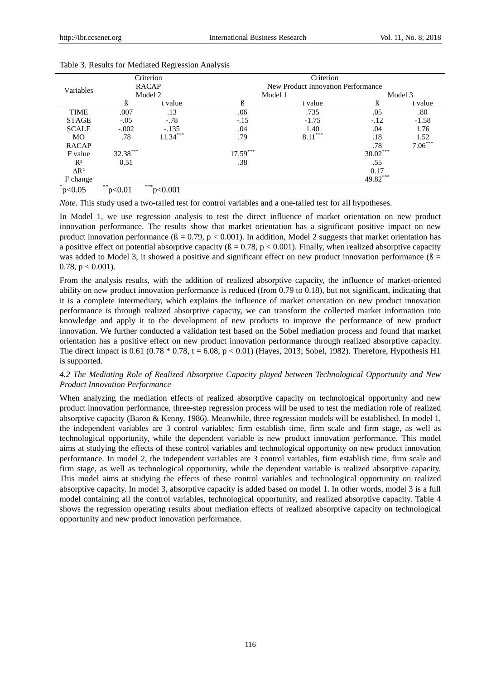|                         |            | Criterion    | Criterion  |                                    |              |           |  |  |
|-------------------------|------------|--------------|------------|------------------------------------|--------------|-----------|--|--|
| Variables               |            | RACAP        |            | New Product Innovation Performance |              |           |  |  |
|                         |            | Model 2      | Model 1    |                                    |              | Model 3   |  |  |
|                         |            | t value      | ß          | t value                            | ß            | t value   |  |  |
| <b>TIME</b>             | .007       | .13          | .06        | .735                               | .05          | .80       |  |  |
| <b>STAGE</b>            | $-.05$     | $-.78$       | $-.15$     | $-1.75$                            | $-.12$       | $-1.58$   |  |  |
| <b>SCALE</b>            | $-.002$    | $-.135$      | .04        | 1.40                               | .04          | 1.76      |  |  |
| MO                      | .78        | $11.34***$   | .79        | $8.11***$                          | .18          | 1.52      |  |  |
| <b>RACAP</b>            |            |              |            |                                    | .78          | $7.06***$ |  |  |
| F value                 | 32.38***   |              | $17.59***$ |                                    | ***<br>30.02 |           |  |  |
| R <sup>2</sup>          | 0.51       |              | .38        |                                    | .55          |           |  |  |
| $\Delta$ R <sup>2</sup> |            |              |            |                                    | 0.17         |           |  |  |
| F change                |            |              |            |                                    | 49.82***     |           |  |  |
| 0.07                    | **<br>0.01 | ***<br>0.001 |            |                                    |              |           |  |  |

#### Table 3. Results for Mediated Regression Analysis

 $p<0.05$  $p<0.01$  \*\*\*p<0.001

*Note.* This study used a two-tailed test for control variables and a one-tailed test for all hypotheses.

In Model 1, we use regression analysis to test the direct influence of market orientation on new product innovation performance. The results show that market orientation has a significant positive impact on new product innovation performance ( $\beta = 0.79$ ,  $p < 0.001$ ). In addition, Model 2 suggests that market orientation has a positive effect on potential absorptive capacity ( $B = 0.78$ ,  $p < 0.001$ ). Finally, when realized absorptive capacity was added to Model 3, it showed a positive and significant effect on new product innovation performance ( $\beta$  = 0.78,  $p < 0.001$ ).

From the analysis results, with the addition of realized absorptive capacity, the influence of market-oriented ability on new product innovation performance is reduced (from 0.79 to 0.18), but not significant, indicating that it is a complete intermediary, which explains the influence of market orientation on new product innovation performance is through realized absorptive capacity, we can transform the collected market information into knowledge and apply it to the development of new products to improve the performance of new product innovation. We further conducted a validation test based on the Sobel mediation process and found that market orientation has a positive effect on new product innovation performance through realized absorptive capacity. The direct impact is 0.61 (0.78  $*$  0.78, t = 6.08, p < 0.01) (Hayes, 2013; Sobel, 1982). Therefore, Hypothesis H1 is supported.

## *4.2 The Mediating Role of Realized Absorptive Capacity played between Technological Opportunity and New Product Innovation Performance*

When analyzing the mediation effects of realized absorptive capacity on technological opportunity and new product innovation performance, three-step regression process will be used to test the mediation role of realized absorptive capacity (Baron & Kenny, 1986). Meanwhile, three regression models will be established. In model 1, the independent variables are 3 control variables; firm establish time, firm scale and firm stage, as well as technological opportunity, while the dependent variable is new product innovation performance. This model aims at studying the effects of these control variables and technological opportunity on new product innovation performance. In model 2, the independent variables are 3 control variables, firm establish time, firm scale and firm stage, as well as technological opportunity, while the dependent variable is realized absorptive capacity. This model aims at studying the effects of these control variables and technological opportunity on realized absorptive capacity. In model 3, absorptive capacity is added based on model 1. In other words, model 3 is a full model containing all the control variables, technological opportunity, and realized absorptive capacity. Table 4 shows the regression operating results about mediation effects of realized absorptive capacity on technological opportunity and new product innovation performance.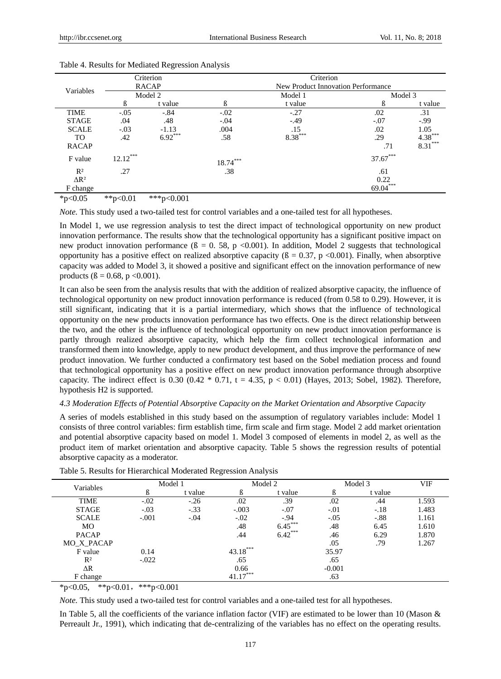|                         |            | Criterion |            | Criterion                          |            |           |  |  |
|-------------------------|------------|-----------|------------|------------------------------------|------------|-----------|--|--|
| Variables               |            | RACAP     |            | New Product Innovation Performance |            |           |  |  |
|                         |            | Model 2   |            | Model 1                            | Model 3    |           |  |  |
|                         | ß          | t value   | ß          | t value                            | ß          | t value   |  |  |
| <b>TIME</b>             | $-.05$     | $-.84$    | $-.02$     | $-.27$                             | .02        | .31       |  |  |
| <b>STAGE</b>            | .04        | .48       | $-.04$     | $-.49$                             | $-.07$     | $-.99$    |  |  |
| <b>SCALE</b>            | $-.03$     | $-1.13$   | .004       | .15                                | .02        | 1.05      |  |  |
| TO                      | .42        | $6.92***$ | .58        | $8.38***$                          | .29        | $4.38***$ |  |  |
| <b>RACAP</b>            |            |           |            |                                    | .71        | $8.31***$ |  |  |
| F value                 | $12.12***$ |           | $18.74***$ |                                    | $37.67***$ |           |  |  |
| R <sup>2</sup>          | .27        |           | .38        |                                    | .61        |           |  |  |
| $\Delta$ R <sup>2</sup> |            |           |            |                                    | 0.22       |           |  |  |
| F change                |            |           |            |                                    | $69.04***$ |           |  |  |

Table 4. Results for Mediated Regression Analysis

 $*_{p<0.05}$   $*_{p<0.01}$   $*_{p<0.001}$ 

*Note.* This study used a two-tailed test for control variables and a one-tailed test for all hypotheses.

In Model 1, we use regression analysis to test the direct impact of technological opportunity on new product innovation performance. The results show that the technological opportunity has a significant positive impact on new product innovation performance ( $\beta = 0.58$ , p <0.001). In addition, Model 2 suggests that technological opportunity has a positive effect on realized absorptive capacity ( $\beta = 0.37$ , p <0.001). Finally, when absorptive capacity was added to Model 3, it showed a positive and significant effect on the innovation performance of new products ( $\beta = 0.68$ , p < 0.001).

It can also be seen from the analysis results that with the addition of realized absorptive capacity, the influence of technological opportunity on new product innovation performance is reduced (from 0.58 to 0.29). However, it is still significant, indicating that it is a partial intermediary, which shows that the influence of technological opportunity on the new products innovation performance has two effects. One is the direct relationship between the two, and the other is the influence of technological opportunity on new product innovation performance is partly through realized absorptive capacity, which help the firm collect technological information and transformed them into knowledge, apply to new product development, and thus improve the performance of new product innovation. We further conducted a confirmatory test based on the Sobel mediation process and found that technological opportunity has a positive effect on new product innovation performance through absorptive capacity. The indirect effect is 0.30 (0.42  $*$  0.71, t = 4.35, p < 0.01) (Hayes, 2013; Sobel, 1982). Therefore, hypothesis H2 is supported.

#### *4.3 Moderation Effects of Potential Absorptive Capacity on the Market Orientation and Absorptive Capacity*

A series of models established in this study based on the assumption of regulatory variables include: Model 1 consists of three control variables: firm establish time, firm scale and firm stage. Model 2 add market orientation and potential absorptive capacity based on model 1. Model 3 composed of elements in model 2, as well as the product item of market orientation and absorptive capacity. Table 5 shows the regression results of potential absorptive capacity as a moderator.

| Variables      |         | Model 1 |            | Model 2   |          | Model 3 |       |
|----------------|---------|---------|------------|-----------|----------|---------|-------|
|                | ß       | t value | ß          | t value   | ß        | t value |       |
| <b>TIME</b>    | $-.02$  | $-.26$  | .02        | .39       | .02      | .44     | 1.593 |
| <b>STAGE</b>   | $-.03$  | $-.33$  | $-.003$    | $-.07$    | $-.01$   | $-.18$  | 1.483 |
| <b>SCALE</b>   | $-.001$ | $-.04$  | $-.02$     | $-.94$    | $-.05$   | $-.88$  | 1.161 |
| MO             |         |         | .48        | $6.45***$ | .48      | 6.45    | 1.610 |
| <b>PACAP</b>   |         |         | .44        | $6.42***$ | .46      | 6.29    | 1.870 |
| MO X PACAP     |         |         |            |           | .05      | .79     | 1.267 |
| F value        | 0.14    |         | $43.18***$ |           | 35.97    |         |       |
| R <sup>2</sup> | $-.022$ |         | .65        |           | .65      |         |       |
| $\Delta R$     |         |         | 0.66       |           | $-0.001$ |         |       |
| F change       |         |         | $41.17***$ |           | .63      |         |       |

Table 5. Results for Hierarchical Moderated Regression Analysis

 $*p<0.05$ ,  $*p<0.01$ ,  $**p<0.001$ 

*Note*. This study used a two-tailed test for control variables and a one-tailed test for all hypotheses.

In Table 5, all the coefficients of the variance inflation factor (VIF) are estimated to be lower than 10 (Mason & Perreault Jr., 1991), which indicating that de-centralizing of the variables has no effect on the operating results.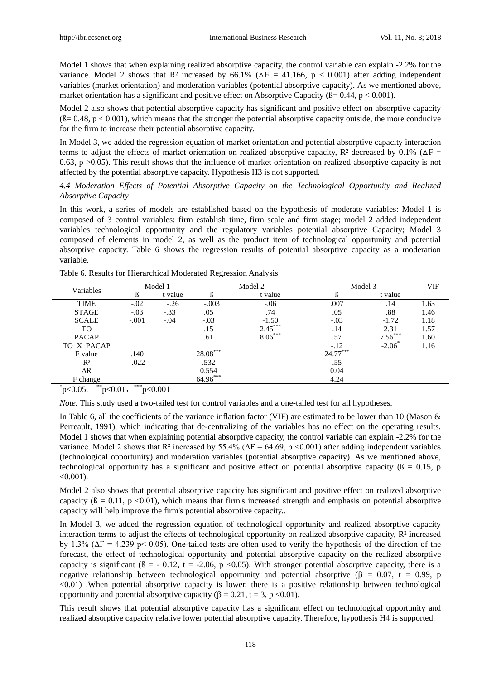Model 1 shows that when explaining realized absorptive capacity, the control variable can explain -2.2% for the variance. Model 2 shows that R<sup>2</sup> increased by 66.1% ( $\Delta F = 41.166$ , p < 0.001) after adding independent variables (market orientation) and moderation variables (potential absorptive capacity). As we mentioned above, market orientation has a significant and positive effect on Absorptive Capacity ( $\beta$ = 0.44, p < 0.001).

Model 2 also shows that potential absorptive capacity has significant and positive effect on absorptive capacity  $(E = 0.48, p < 0.001)$ , which means that the stronger the potential absorptive capacity outside, the more conducive for the firm to increase their potential absorptive capacity.

In Model 3, we added the regression equation of market orientation and potential absorptive capacity interaction terms to adjust the effects of market orientation on realized absorptive capacity, R<sup>2</sup> decreased by 0.1% ( $\Delta F =$ 0.63, p  $>0.05$ ). This result shows that the influence of market orientation on realized absorptive capacity is not affected by the potential absorptive capacity. Hypothesis H3 is not supported.

*4.4 Moderation Effects of Potential Absorptive Capacity on the Technological Opportunity and Realized Absorptive Capacity*

In this work, a series of models are established based on the hypothesis of moderate variables: Model 1 is composed of 3 control variables: firm establish time, firm scale and firm stage; model 2 added independent variables technological opportunity and the regulatory variables potential absorptive Capacity; Model 3 composed of elements in model 2, as well as the product item of technological opportunity and potential absorptive capacity. Table 6 shows the regression results of potential absorptive capacity as a moderation variable.

| Variables          | Model 1 |         |            | Model 2   |            | Model 3   |      |
|--------------------|---------|---------|------------|-----------|------------|-----------|------|
|                    | ß       | t value | ß          | t value   | ß          | t value   |      |
| <b>TIME</b>        | $-.02$  | $-.26$  | $-.003$    | $-.06$    | .007       | .14       | 1.63 |
| <b>STAGE</b>       | $-.03$  | $-.33$  | .05        | .74       | .05        | .88       | 1.46 |
| <b>SCALE</b>       | $-.001$ | $-.04$  | $-.03$     | $-1.50$   | $-.03$     | $-1.72$   | 1.18 |
| TO                 |         |         | .15        | $2.45***$ | .14        | 2.31      | 1.57 |
| <b>PACAP</b>       |         |         | .61        | $8.06***$ | .57        | $7.56***$ | 1.60 |
| TO X PACAP         |         |         |            |           | $-.12$     | $-2.06$   | 1.16 |
| F value            | .140    |         | $28.08***$ |           | $24.77***$ |           |      |
| R <sup>2</sup>     | $-.022$ |         | .532       |           | .55        |           |      |
| $\Delta R$         |         |         | 0.554      |           | 0.04       |           |      |
| F change           |         |         | 64.96***   |           | 4.24       |           |      |
| **<br>0.07<br>0.01 | ***     | 0.001   |            |           |            |           |      |

Table 6. Results for Hierarchical Moderated Regression Analysis

 $p<0.05$ ,  $p<0.01$ ,  $p<0.001$ 

*Note.* This study used a two-tailed test for control variables and a one-tailed test for all hypotheses.

In Table 6, all the coefficients of the variance inflation factor (VIF) are estimated to be lower than 10 (Mason & Perreault, 1991), which indicating that de-centralizing of the variables has no effect on the operating results. Model 1 shows that when explaining potential absorptive capacity, the control variable can explain -2.2% for the variance. Model 2 shows that  $R^2$  increased by 55.4% ( $\Delta F = 64.69$ , p <0.001) after adding independent variables (technological opportunity) and moderation variables (potential absorptive capacity). As we mentioned above, technological opportunity has a significant and positive effect on potential absorptive capacity ( $\beta = 0.15$ , p  $< 0.001$ ).

Model 2 also shows that potential absorptive capacity has significant and positive effect on realized absorptive capacity ( $\beta = 0.11$ ,  $p \le 0.01$ ), which means that firm's increased strength and emphasis on potential absorptive capacity will help improve the firm's potential absorptive capacity..

In Model 3, we added the regression equation of technological opportunity and realized absorptive capacity interaction terms to adjust the effects of technological opportunity on realized absorptive capacity, R² increased by 1.3% (ΔF = 4.239 p< 0.05). One-tailed tests are often used to verify the hypothesis of the direction of the forecast, the effect of technological opportunity and potential absorptive capacity on the realized absorptive capacity is significant ( $\beta$  = - 0.12, t = -2.06, p <0.05). With stronger potential absorptive capacity, there is a negative relationship between technological opportunity and potential absorptive ( $\beta = 0.07$ , t = 0.99, p <0.01) .When potential absorptive capacity is lower, there is a positive relationship between technological opportunity and potential absorptive capacity ( $\beta = 0.21$ ,  $t = 3$ ,  $p < 0.01$ ).

This result shows that potential absorptive capacity has a significant effect on technological opportunity and realized absorptive capacity relative lower potential absorptive capacity. Therefore, hypothesis H4 is supported.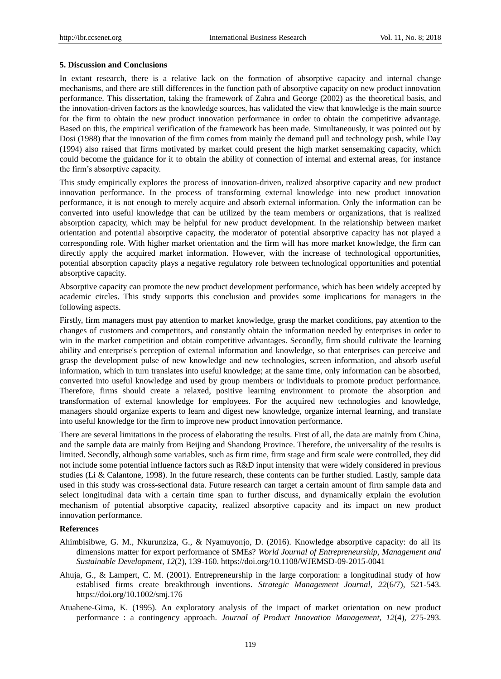## **5. Discussion and Conclusions**

In extant research, there is a relative lack on the formation of absorptive capacity and internal change mechanisms, and there are still differences in the function path of absorptive capacity on new product innovation performance. This dissertation, taking the framework of Zahra and George (2002) as the theoretical basis, and the innovation-driven factors as the knowledge sources, has validated the view that knowledge is the main source for the firm to obtain the new product innovation performance in order to obtain the competitive advantage. Based on this, the empirical verification of the framework has been made. Simultaneously, it was pointed out by Dosi (1988) that the innovation of the firm comes from mainly the demand pull and technology push, while Day (1994) also raised that firms motivated by market could present the high market sensemaking capacity, which could become the guidance for it to obtain the ability of connection of internal and external areas, for instance the firm's absorptive capacity.

This study empirically explores the process of innovation-driven, realized absorptive capacity and new product innovation performance. In the process of transforming external knowledge into new product innovation performance, it is not enough to merely acquire and absorb external information. Only the information can be converted into useful knowledge that can be utilized by the team members or organizations, that is realized absorption capacity, which may be helpful for new product development. In the relationship between market orientation and potential absorptive capacity, the moderator of potential absorptive capacity has not played a corresponding role. With higher market orientation and the firm will has more market knowledge, the firm can directly apply the acquired market information. However, with the increase of technological opportunities, potential absorption capacity plays a negative regulatory role between technological opportunities and potential absorptive capacity.

Absorptive capacity can promote the new product development performance, which has been widely accepted by academic circles. This study supports this conclusion and provides some implications for managers in the following aspects.

Firstly, firm managers must pay attention to market knowledge, grasp the market conditions, pay attention to the changes of customers and competitors, and constantly obtain the information needed by enterprises in order to win in the market competition and obtain competitive advantages. Secondly, firm should cultivate the learning ability and enterprise's perception of external information and knowledge, so that enterprises can perceive and grasp the development pulse of new knowledge and new technologies, screen information, and absorb useful information, which in turn translates into useful knowledge; at the same time, only information can be absorbed, converted into useful knowledge and used by group members or individuals to promote product performance. Therefore, firms should create a relaxed, positive learning environment to promote the absorption and transformation of external knowledge for employees. For the acquired new technologies and knowledge, managers should organize experts to learn and digest new knowledge, organize internal learning, and translate into useful knowledge for the firm to improve new product innovation performance.

There are several limitations in the process of elaborating the results. First of all, the data are mainly from China, and the sample data are mainly from Beijing and Shandong Province. Therefore, the universality of the results is limited. Secondly, although some variables, such as firm time, firm stage and firm scale were controlled, they did not include some potential influence factors such as R&D input intensity that were widely considered in previous studies (Li & Calantone, 1998). In the future research, these contents can be further studied. Lastly, sample data used in this study was cross-sectional data. Future research can target a certain amount of firm sample data and select longitudinal data with a certain time span to further discuss, and dynamically explain the evolution mechanism of potential absorptive capacity, realized absorptive capacity and its impact on new product innovation performance.

## **References**

- Ahimbisibwe, G. M., Nkurunziza, G., & Nyamuyonjo, D. (2016). Knowledge absorptive capacity: do all its dimensions matter for export performance of SMEs? *World Journal of Entrepreneurship, Management and Sustainable Development, 12*(2), 139-160.<https://doi.org/10.1108/WJEMSD-09-2015-0041>
- Ahuja, G., & Lampert, C. M. (2001). Entrepreneurship in the large corporation: a longitudinal study of how establised firms create breakthrough inventions. *Strategic Management Journal, 22*(6/7), 521-543. <https://doi.org/10.1002/smj.176>
- Atuahene-Gima, K. (1995). An exploratory analysis of the impact of market orientation on new product performance : a contingency approach. *Journal of Product Innovation Management, 12*(4), 275-293.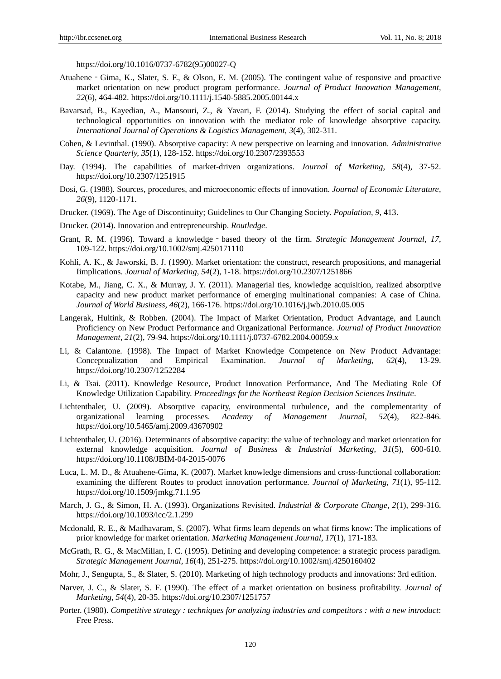[https://doi.org/10.1016/0737-6782\(95\)00027-Q](https://doi.org/10.1016/0737-6782(95)00027-Q)

- Atuahene Gima, K., Slater, S. F., & Olson, E. M. (2005). The contingent value of responsive and proactive market orientation on new product program performance. *Journal of Product Innovation Management, 22*(6), 464-482.<https://doi.org/10.1111/j.1540-5885.2005.00144.x>
- Bavarsad, B., Kayedian, A., Mansouri, Z., & Yavari, F. (2014). Studying the effect of social capital and technological opportunities on innovation with the mediator role of knowledge absorptive capacity. *International Journal of Operations & Logistics Management, 3*(4), 302-311.
- Cohen, & Levinthal. (1990). Absorptive capacity: A new perspective on learning and innovation. *Administrative Science Quarterly, 35*(1), 128-152.<https://doi.org/10.2307/2393553>
- Day. (1994). The capabilities of market-driven organizations. *Journal of Marketing, 58*(4), 37-52. <https://doi.org/10.2307/1251915>
- Dosi, G. (1988). Sources, procedures, and microeconomic effects of innovation. *Journal of Economic Literature, 26*(9), 1120-1171.
- Drucker. (1969). The Age of Discontinuity; Guidelines to Our Changing Society. *Population, 9*, 413.
- Drucker. (2014). Innovation and entrepreneurship. *Routledge*.
- Grant, R. M. (1996). Toward a knowledge‐based theory of the firm. *Strategic Management Journal, 17*, 109-122.<https://doi.org/10.1002/smj.4250171110>
- Kohli, A. K., & Jaworski, B. J. (1990). Market orientation: the construct, research propositions, and managerial Iimplications. *Journal of Marketing, 54*(2), 1-18.<https://doi.org/10.2307/1251866>
- Kotabe, M., Jiang, C. X., & Murray, J. Y. (2011). Managerial ties, knowledge acquisition, realized absorptive capacity and new product market performance of emerging multinational companies: A case of China. *Journal of World Business, 46*(2), 166-176.<https://doi.org/10.1016/j.jwb.2010.05.005>
- Langerak, Hultink, & Robben. (2004). The Impact of Market Orientation, Product Advantage, and Launch Proficiency on New Product Performance and Organizational Performance. *Journal of Product Innovation Management, 21*(2), 79-94.<https://doi.org/10.1111/j.0737-6782.2004.00059.x>
- <span id="page-10-0"></span>Li, & Calantone. (1998). The Impact of Market Knowledge Competence on New Product Advantage: Conceptualization and Empirical Examination. *Journal of Marketing, 62*(4), 13-29. <https://doi.org/10.2307/1252284>
- Li, & Tsai. (2011). Knowledge Resource, Product Innovation Performance, And The Mediating Role Of Knowledge Utilization Capability. *Proceedings for the Northeast Region Decision Sciences Institute*.
- Lichtenthaler, U. (2009). Absorptive capacity, environmental turbulence, and the complementarity of organizational learning processes. *Academy of Management Journal, 52*(4), 822-846. <https://doi.org/10.5465/amj.2009.43670902>
- Lichtenthaler, U. (2016). Determinants of absorptive capacity: the value of technology and market orientation for external knowledge acquisition. *Journal of Business & Industrial Marketing, 31*(5), 600-610. <https://doi.org/10.1108/JBIM-04-2015-0076>
- Luca, L. M. D., & Atuahene-Gima, K. (2007). Market knowledge dimensions and cross-functional collaboration: examining the different Routes to product innovation performance. *Journal of Marketing, 71*(1), 95-112. <https://doi.org/10.1509/jmkg.71.1.95>
- March, J. G., & Simon, H. A. (1993). Organizations Revisited. *Industrial & Corporate Change, 2*(1), 299-316. <https://doi.org/10.1093/icc/2.1.299>
- Mcdonald, R. E., & Madhavaram, S. (2007). What firms learn depends on what firms know: The implications of prior knowledge for market orientation. *Marketing Management Journal, 17*(1), 171-183.
- McGrath, R. G., & MacMillan, I. C. (1995). Defining and developing competence: a strategic process paradigm. *Strategic Management Journal, 16*(4), 251-275.<https://doi.org/10.1002/smj.4250160402>
- Mohr, J., Sengupta, S., & Slater, S. (2010). Marketing of high technology products and innovations: 3rd edition.
- Narver, J. C., & Slater, S. F. (1990). The effect of a market orientation on business profitability. *Journal of Marketing, 54*(4), 20-35[. https://doi.org/10.2307/1251757](https://doi.org/10.2307/1251757)
- <span id="page-10-1"></span>Porter. (1980). *Competitive strategy : techniques for analyzing industries and competitors : with a new introduct*: Free Press.